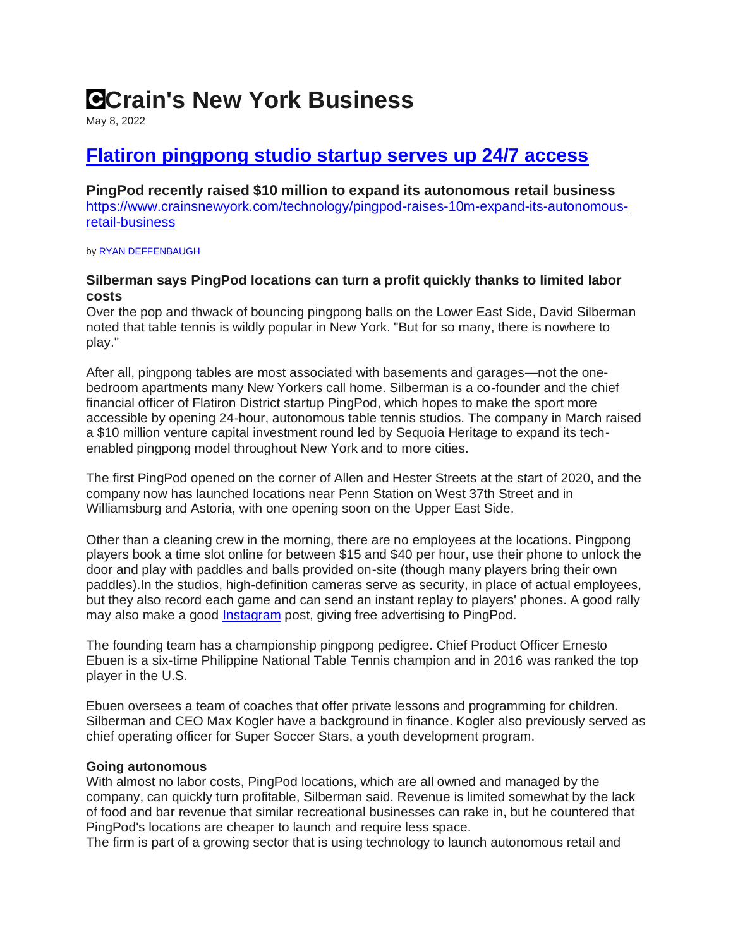# **Crain's New York Business**

May 8, 2022

## **[Flatiron pingpong studio startup serves up 24/7 access](https://www.crainsnewyork.com/technology/pingpod-raises-10m-expand-its-autonomous-retail-business)**

**PingPod recently raised \$10 million to expand its autonomous retail business** [https://www.crainsnewyork.com/technology/pingpod-raises-10m-expand-its-autonomous](https://www.crainsnewyork.com/technology/pingpod-raises-10m-expand-its-autonomous-retail-business)[retail-business](https://www.crainsnewyork.com/technology/pingpod-raises-10m-expand-its-autonomous-retail-business)

b[y RYAN DEFFENBAUGH](https://www.crainsnewyork.com/author/ryan-deffenbaugh)

### **Silberman says PingPod locations can turn a profit quickly thanks to limited labor costs**

Over the pop and thwack of bouncing pingpong balls on the Lower East Side, David Silberman noted that table tennis is wildly popular in New York. "But for so many, there is nowhere to play."

After all, pingpong tables are most associated with basements and garages—not the onebedroom apartments many New Yorkers call home. Silberman is a co-founder and the chief financial officer of Flatiron District startup PingPod, which hopes to make the sport more accessible by opening 24-hour, autonomous table tennis studios. The company in March raised a \$10 million venture capital investment round led by Sequoia Heritage to expand its techenabled pingpong model throughout New York and to more cities.

The first PingPod opened on the corner of Allen and Hester Streets at the start of 2020, and the company now has launched locations near Penn Station on West 37th Street and in Williamsburg and Astoria, with one opening soon on the Upper East Side.

Other than a cleaning crew in the morning, there are no employees at the locations. Pingpong players book a time slot online for between \$15 and \$40 per hour, use their phone to unlock the door and play with paddles and balls provided on-site (though many players bring their own paddles).In the studios, high-definition cameras serve as security, in place of actual employees, but they also record each game and can send an instant replay to players' phones. A good rally may also make a good [Instagram](https://www.instagram.com/pingpodnyc/) post, giving free advertising to PingPod.

The founding team has a championship pingpong pedigree. Chief Product Officer Ernesto Ebuen is a six-time Philippine National Table Tennis champion and in 2016 was ranked the top player in the U.S.

Ebuen oversees a team of coaches that offer private lessons and programming for children. Silberman and CEO Max Kogler have a background in finance. Kogler also previously served as chief operating officer for Super Soccer Stars, a youth development program.

### **Going autonomous**

With almost no labor costs, PingPod locations, which are all owned and managed by the company, can quickly turn profitable, Silberman said. Revenue is limited somewhat by the lack of food and bar revenue that similar recreational businesses can rake in, but he countered that PingPod's locations are cheaper to launch and require less space.

The firm is part of a growing sector that is using technology to launch autonomous retail and